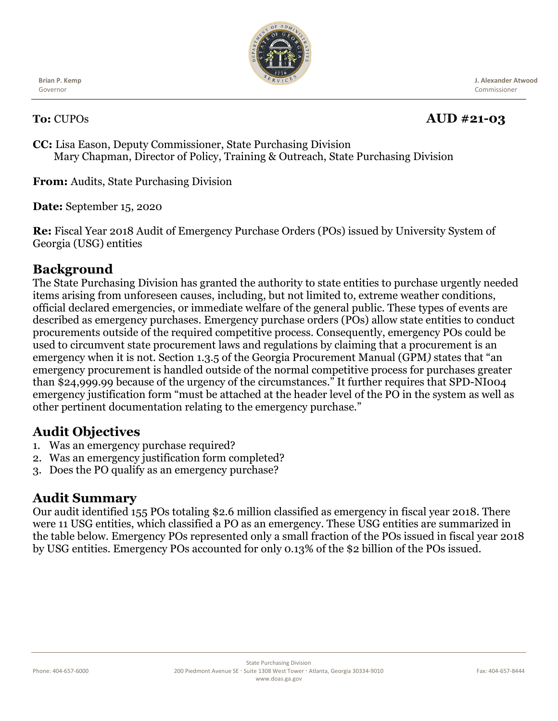

**Brian P. Kemp** Governor

 **J. Alexander Atwood** Commissioner

#### **To:** CUPOs **AUD #21-03**

**CC:** Lisa Eason, Deputy Commissioner, State Purchasing Division Mary Chapman, Director of Policy, Training & Outreach, State Purchasing Division

**From:** Audits, State Purchasing Division

**Date:** September 15, 2020

**Re:** Fiscal Year 2018 Audit of Emergency Purchase Orders (POs) issued by University System of Georgia (USG) entities

## **Background**

The State Purchasing Division has granted the authority to state entities to purchase urgently needed items arising from unforeseen causes, including, but not limited to, extreme weather conditions, official declared emergencies, or immediate welfare of the general public. These types of events are described as emergency purchases. Emergency purchase orders (POs) allow state entities to conduct procurements outside of the required competitive process. Consequently, emergency POs could be used to circumvent state procurement laws and regulations by claiming that a procurement is an emergency when it is not. Section 1.3.5 of the Georgia Procurement Manual (GPM*)* states that "an emergency procurement is handled outside of the normal competitive process for purchases greater than \$24,999.99 because of the urgency of the circumstances." It further requires that SPD-NI004 emergency justification form "must be attached at the header level of the PO in the system as well as other pertinent documentation relating to the emergency purchase."

## **Audit Objectives**

- 1. Was an emergency purchase required?
- 2. Was an emergency justification form completed?
- 3. Does the PO qualify as an emergency purchase?

#### **Audit Summary**

Our audit identified 155 POs totaling \$2.6 million classified as emergency in fiscal year 2018. There were 11 USG entities, which classified a PO as an emergency. These USG entities are summarized in the table below. Emergency POs represented only a small fraction of the POs issued in fiscal year 2018 by USG entities. Emergency POs accounted for only 0.13% of the \$2 billion of the POs issued.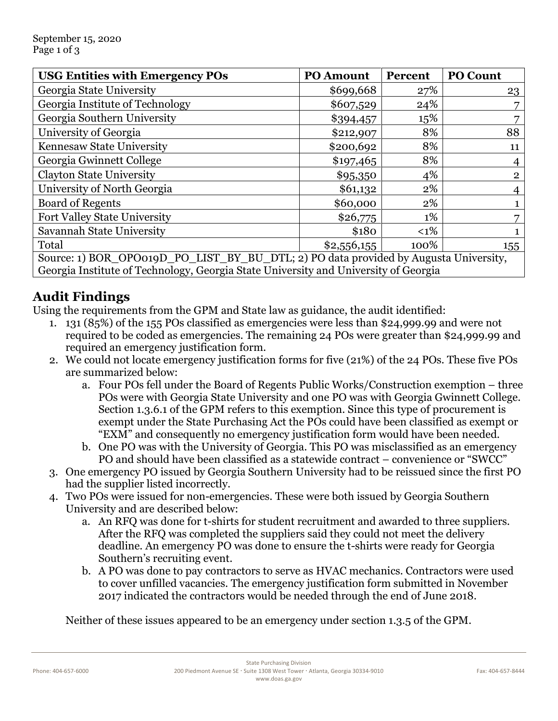| <b>USG Entities with Emergency POs</b>                                               | <b>PO Amount</b> | Percent | <b>PO Count</b> |
|--------------------------------------------------------------------------------------|------------------|---------|-----------------|
| Georgia State University                                                             | \$699,668        | 27%     | 23              |
| Georgia Institute of Technology                                                      | \$607,529        | 24%     |                 |
| Georgia Southern University                                                          | \$394,457        | 15%     |                 |
| University of Georgia                                                                | \$212,907        | 8%      | 88              |
| Kennesaw State University                                                            | \$200,692        | 8%      | 11              |
| Georgia Gwinnett College                                                             | \$197,465        | 8%      |                 |
| <b>Clayton State University</b>                                                      | \$95,350         | 4%      | $\overline{2}$  |
| University of North Georgia                                                          | \$61,132         | 2%      |                 |
| <b>Board of Regents</b>                                                              | \$60,000         | 2%      |                 |
| Fort Valley State University                                                         | \$26,775         | 1%      |                 |
| Savannah State University                                                            | \$180            | $<1\%$  |                 |
| Total                                                                                | \$2,556,155      | 100%    | 155             |
| Source: 1) BOR_OPO019D_PO_LIST_BY_BU_DTL; 2) PO data provided by Augusta University, |                  |         |                 |

Georgia Institute of Technology, Georgia State University and University of Georgia

# **Audit Findings**

Using the requirements from the GPM and State law as guidance, the audit identified:

- 1. 131 (85%) of the 155 POs classified as emergencies were less than \$24,999.99 and were not required to be coded as emergencies. The remaining 24 POs were greater than \$24,999.99 and required an emergency justification form.
- 2. We could not locate emergency justification forms for five (21%) of the 24 POs. These five POs are summarized below:
	- a. Four POs fell under the Board of Regents Public Works/Construction exemption three POs were with Georgia State University and one PO was with Georgia Gwinnett College. Section 1.3.6.1 of the GPM refers to this exemption. Since this type of procurement is exempt under the State Purchasing Act the POs could have been classified as exempt or "EXM" and consequently no emergency justification form would have been needed.
	- b. One PO was with the University of Georgia. This PO was misclassified as an emergency PO and should have been classified as a statewide contract – convenience or "SWCC"
- 3. One emergency PO issued by Georgia Southern University had to be reissued since the first PO had the supplier listed incorrectly.
- 4. Two POs were issued for non-emergencies. These were both issued by Georgia Southern University and are described below:
	- a. An RFQ was done for t-shirts for student recruitment and awarded to three suppliers. After the RFQ was completed the suppliers said they could not meet the delivery deadline. An emergency PO was done to ensure the t-shirts were ready for Georgia Southern's recruiting event.
	- b. A PO was done to pay contractors to serve as HVAC mechanics. Contractors were used to cover unfilled vacancies. The emergency justification form submitted in November 2017 indicated the contractors would be needed through the end of June 2018.

Neither of these issues appeared to be an emergency under section 1.3.5 of the GPM.